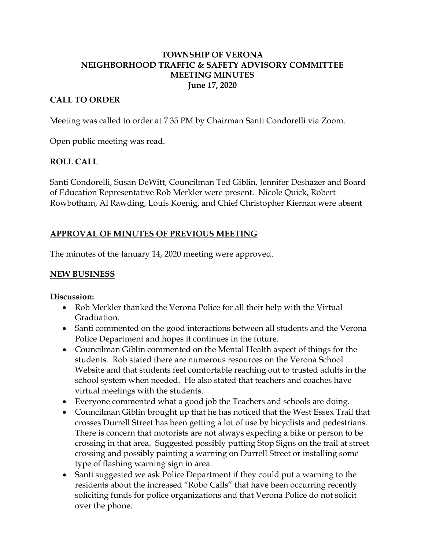# **TOWNSHIP OF VERONA NEIGHBORHOOD TRAFFIC & SAFETY ADVISORY COMMITTEE MEETING MINUTES June 17, 2020**

#### **CALL TO ORDER**

Meeting was called to order at 7:35 PM by Chairman Santi Condorelli via Zoom.

Open public meeting was read.

#### **ROLL CALL**

Santi Condorelli, Susan DeWitt, Councilman Ted Giblin, Jennifer Deshazer and Board of Education Representative Rob Merkler were present. Nicole Quick, Robert Rowbotham, Al Rawding, Louis Koenig, and Chief Christopher Kiernan were absent

# **APPROVAL OF MINUTES OF PREVIOUS MEETING**

The minutes of the January 14, 2020 meeting were approved.

#### **NEW BUSINESS**

#### **Discussion:**

- Rob Merkler thanked the Verona Police for all their help with the Virtual Graduation.
- Santi commented on the good interactions between all students and the Verona Police Department and hopes it continues in the future.
- Councilman Giblin commented on the Mental Health aspect of things for the students. Rob stated there are numerous resources on the Verona School Website and that students feel comfortable reaching out to trusted adults in the school system when needed. He also stated that teachers and coaches have virtual meetings with the students.
- Everyone commented what a good job the Teachers and schools are doing.
- Councilman Giblin brought up that he has noticed that the West Essex Trail that crosses Durrell Street has been getting a lot of use by bicyclists and pedestrians. There is concern that motorists are not always expecting a bike or person to be crossing in that area. Suggested possibly putting Stop Signs on the trail at street crossing and possibly painting a warning on Durrell Street or installing some type of flashing warning sign in area.
- Santi suggested we ask Police Department if they could put a warning to the residents about the increased "Robo Calls" that have been occurring recently soliciting funds for police organizations and that Verona Police do not solicit over the phone.